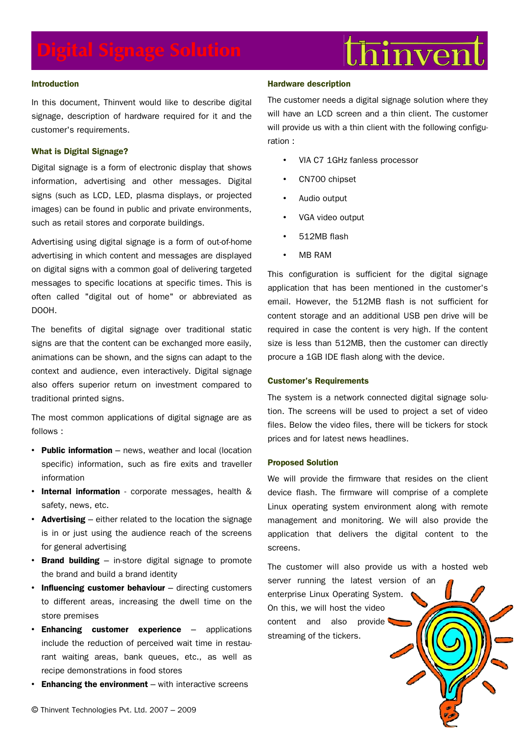# $\mathrm{thi}$ nven

# **Introduction**

In this document, Thinvent would like to describe digital signage, description of hardware required for it and the customer's requirements.

# **What is Digital Signage?**

Digital signage is a form of electronic display that shows information, advertising and other messages. Digital signs (such as LCD, LED, plasma displays, or projected images) can be found in public and private environments, such as retail stores and corporate buildings.

Advertising using digital signage is a form of out-of-home advertising in which content and messages are displayed on digital signs with a common goal of delivering targeted messages to specific locations at specific times. This is often called "digital out of home" or abbreviated as DOOH.

The benefits of digital signage over traditional static signs are that the content can be exchanged more easily, animations can be shown, and the signs can adapt to the context and audience, even interactively. Digital signage also offers superior return on investment compared to traditional printed signs.

The most common applications of digital signage are as follows :

- **Public information** news, weather and local (location specific) information, such as fire exits and traveller information
- **Internal information** corporate messages, health & safety, news, etc.
- **Advertising** either related to the location the signage is in or just using the audience reach of the screens for general advertising
- **Brand building** in-store digital signage to promote the brand and build a brand identity
- **Influencing customer behaviour** directing customers to different areas, increasing the dwell time on the store premises
- **Enhancing customer experience** applications include the reduction of perceived wait time in restaurant waiting areas, bank queues, etc., as well as recipe demonstrations in food stores
- **Enhancing the environment** with interactive screens

# **Hardware description**

The customer needs a digital signage solution where they will have an LCD screen and a thin client. The customer will provide us with a thin client with the following configuration :

- VIA C7 1GHz fanless processor
- CN700 chipset
- Audio output
- VGA video output
- 512MB flash
- MB RAM

This configuration is sufficient for the digital signage application that has been mentioned in the customer's email. However, the 512MB flash is not sufficient for content storage and an additional USB pen drive will be required in case the content is very high. If the content size is less than 512MB, then the customer can directly procure a 1GB IDE flash along with the device.

## **Customer's Requirements**

The system is a network connected digital signage solution. The screens will be used to project a set of video files. Below the video files, there will be tickers for stock prices and for latest news headlines.

# **Proposed Solution**

We will provide the firmware that resides on the client device flash. The firmware will comprise of a complete Linux operating system environment along with remote management and monitoring. We will also provide the application that delivers the digital content to the screens.

The customer will also provide us with a hosted web server running the latest version of an

enterprise Linux Operating System. On this, we will host the video content and also provide streaming of the tickers.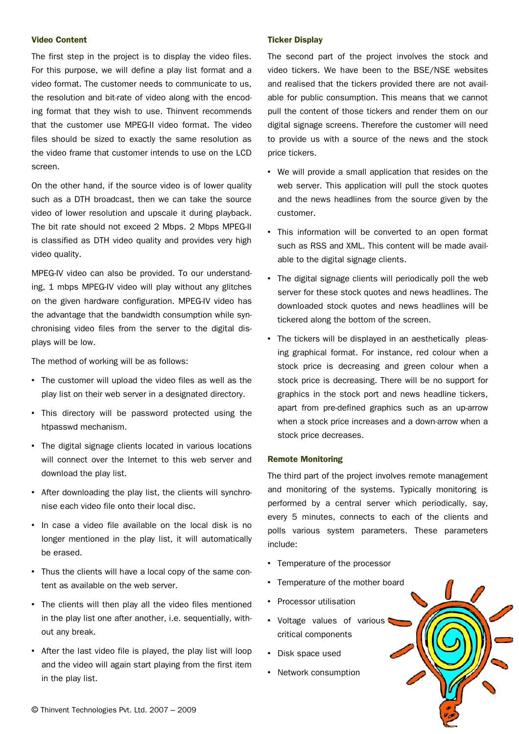# **Video Content**

The first step in the project is to display the video files. For this purpose, we will define a play list format and a video format. The customer needs to communicate to us, the resolution and bit-rate of video along with the encoding format that they wish to use. Thinvent recommends that the customer use MPEG-II video format. The video files should be sized to exactly the same resolution as the video frame that customer intends to use on the LCD screen.

On the other hand, if the source video is of lower quality such as a DTH broadcast, then we can take the source video of lower resolution and upscale it during playback. The bit rate should not exceed 2 Mbps. 2 Mbps MPEG-II is classified as DTH video quality and provides very high video quality.

MPEG-IV video can also be provided. To our understanding, 1 mbps MPEG-IV video will play without any glitches on the given hardware configuration. MPEG-IV video has the advantage that the bandwidth consumption while synchronising video files from the server to the digital displays will be low.

The method of working will be as follows:

- The customer will upload the video files as well as the play list on their web server in a designated directory.
- This directory will be password protected using the htpasswd mechanism.
- The digital signage clients located in various locations will connect over the Internet to this web server and download the play list.
- After downloading the play list, the clients will synchronise each video file onto their local disc.
- In case a video file available on the local disk is no longer mentioned in the play list, it will automatically be erased.
- Thus the clients will have a local copy of the same content as available on the web server.
- The clients will then play all the video files mentioned in the play list one after another, i.e. sequentially, without any break.
- After the last video file is played, the play list will loop and the video will again start playing from the first item in the play list.

### **Ticker Display**

The second part of the project involves the stock and video tickers. We have been to the BSE/NSE websites and realised that the tickers provided there are not available for public consumption. This means that we cannot pull the content of those tickers and render them on our digital signage screens. Therefore the customer will need to provide us with a source of the news and the stock price tickers.

- We will provide a small application that resides on the web server. This application will pull the stock quotes and the news headlines from the source given by the customer.
- This information will be converted to an open format such as RSS and XML. This content will be made available to the digital signage clients.
- The digital signage clients will periodically poll the web server for these stock quotes and news headlines. The downloaded stock quotes and news headlines will be tickered along the bottom of the screen.
- The tickers will be displayed in an aesthetically pleasing graphical format. For instance, red colour when a stock price is decreasing and green colour when a stock price is decreasing. There will be no support for graphics in the stock port and news headline tickers, apart from pre-defined graphics such as an up-arrow when a stock price increases and a down-arrow when a stock price decreases.

## **Remote Monitoring**

The third part of the project involves remote management and monitoring of the systems. Typically monitoring is performed by a central server which periodically, say, every 5 minutes, connects to each of the clients and polls various system parameters. These parameters include:

- Temperature of the processor
- Temperature of the mother board
- Processor utilisation
- Voltage values of various critical components
- Disk space used
- Network consumption